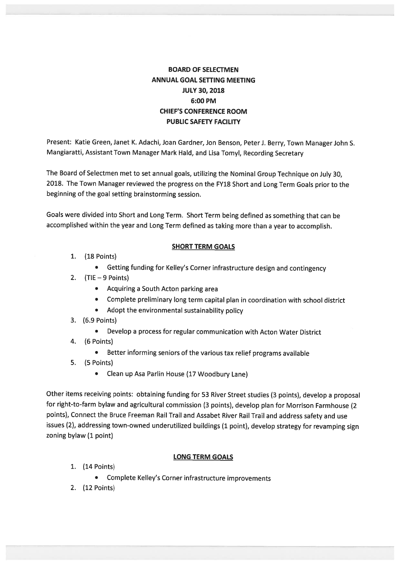# BOARD OF SELECTMEN ANNUAL GOAL SETIING MEETING JULY 30, 2018 6:00 PM CHIEF'S CONFERENCE ROOM PUBLIC SAFETY FACILITY

Present: Katie Green, Janet K. Adachi, Joan Gardner, Jon Benson, Peter J. Berry, Town Manager John S. Mangiaratti, Assistant Town Manager Mark Hald, and Lisa Tomyl, Recording Secretary

The Board of Selectmen met to set annual goals, utilizing the Nominal Group Technique on July 30, 2018. The Town Manager reviewed the progress on the FY18 Short and Long Term Goals prior to the beginning of the goal setting brainstorming session.

Goals were divided into Short and Long Term. Short Term being defined as something that can be accomplished within the year and Long Term defined as taking more than <sup>a</sup> year to accomplish.

## SHORT TERM GOALS

- 1. (18 Points)
	- Getting funding for Kelley's Corner infrastructure design and contingency
- 2.  $(TIE 9 Points)$ 
	- Acquiring <sup>a</sup> South Acton parking area
	- Complete preliminary long term capital <sup>p</sup>lan in coordination with school district
	- Adopt the environmental sustainability policy
- 3. (6.9 Points)
	- $\bullet$ Develop <sup>a</sup> process for regular communication with Acton Water District
- 4. (6 Points)
	- Better informing seniors of the various tax relief programs available
- 5. (5 Points)
	- Clean up Asa Parlin House (17 Woodbury Lane)

Other items receiving points: obtaining funding for <sup>53</sup> River Street studies (3 points), develop <sup>a</sup> proposa<sup>l</sup> for right-to-farm bylaw and agricultural commission (3 points), develop <sup>p</sup>lan for Morrison Farmhouse (2 points), Connect the Bruce Freeman Rail Trail and Assabet River Rail Trail and address safety and use issues (2), addressing town-owned underutilized buildings (1 point), develop strategy for revamping sign zoning bylaw (1 point)

### LONG TERM GOALS

- 1. (14 Points)
	- Complete Kelley's Corner infrastructure improvements
- 2. (12 Points)